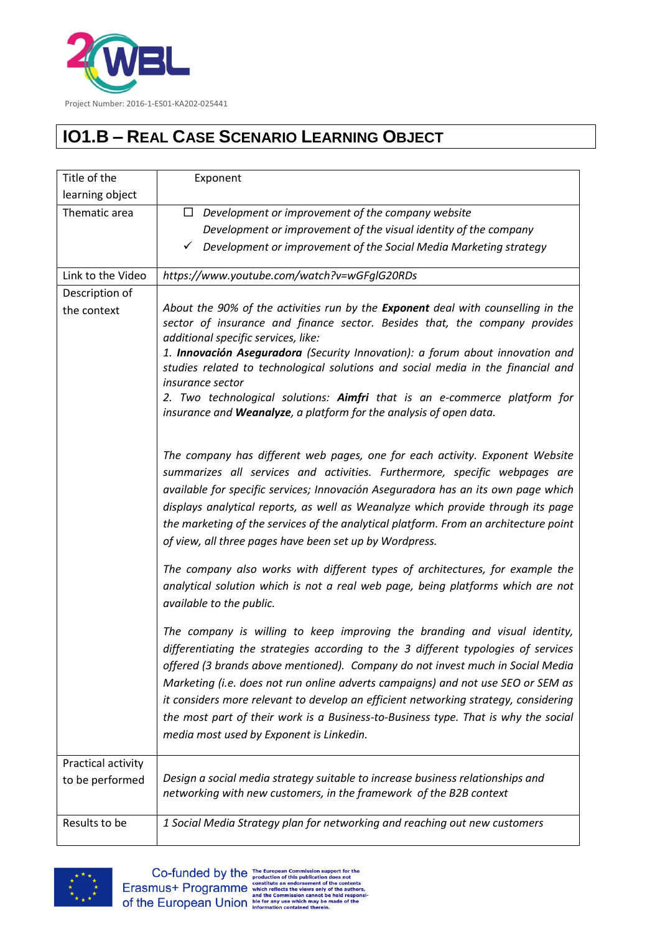

## **IO1.B – REAL CASE SCENARIO LEARNING OBJECT**

| Title of the       | Exponent                                                                                                                                                                                                                                                                                                                                                                                                                                                                                                                                                        |
|--------------------|-----------------------------------------------------------------------------------------------------------------------------------------------------------------------------------------------------------------------------------------------------------------------------------------------------------------------------------------------------------------------------------------------------------------------------------------------------------------------------------------------------------------------------------------------------------------|
| learning object    |                                                                                                                                                                                                                                                                                                                                                                                                                                                                                                                                                                 |
| Thematic area      | $\Box$ Development or improvement of the company website                                                                                                                                                                                                                                                                                                                                                                                                                                                                                                        |
|                    | Development or improvement of the visual identity of the company                                                                                                                                                                                                                                                                                                                                                                                                                                                                                                |
|                    | Development or improvement of the Social Media Marketing strategy<br>✓                                                                                                                                                                                                                                                                                                                                                                                                                                                                                          |
| Link to the Video  | https://www.youtube.com/watch?v=wGFgIG20RDs                                                                                                                                                                                                                                                                                                                                                                                                                                                                                                                     |
| Description of     |                                                                                                                                                                                                                                                                                                                                                                                                                                                                                                                                                                 |
| the context        | About the 90% of the activities run by the Exponent deal with counselling in the<br>sector of insurance and finance sector. Besides that, the company provides<br>additional specific services, like:<br>1. Innovación Aseguradora (Security Innovation): a forum about innovation and<br>studies related to technological solutions and social media in the financial and                                                                                                                                                                                      |
|                    | <i>insurance sector</i><br>2. Two technological solutions: Aimfri that is an e-commerce platform for<br>insurance and Weanalyze, a platform for the analysis of open data.                                                                                                                                                                                                                                                                                                                                                                                      |
|                    | The company has different web pages, one for each activity. Exponent Website<br>summarizes all services and activities. Furthermore, specific webpages are<br>available for specific services; Innovación Aseguradora has an its own page which<br>displays analytical reports, as well as Weanalyze which provide through its page<br>the marketing of the services of the analytical platform. From an architecture point<br>of view, all three pages have been set up by Wordpress.                                                                          |
|                    | The company also works with different types of architectures, for example the<br>analytical solution which is not a real web page, being platforms which are not<br>available to the public.                                                                                                                                                                                                                                                                                                                                                                    |
|                    | The company is willing to keep improving the branding and visual identity,<br>differentiating the strategies according to the 3 different typologies of services<br>offered (3 brands above mentioned). Company do not invest much in Social Media<br>Marketing (i.e. does not run online adverts campaigns) and not use SEO or SEM as<br>it considers more relevant to develop an efficient networking strategy, considering<br>the most part of their work is a Business-to-Business type. That is why the social<br>media most used by Exponent is Linkedin. |
| Practical activity |                                                                                                                                                                                                                                                                                                                                                                                                                                                                                                                                                                 |
| to be performed    | Design a social media strategy suitable to increase business relationships and<br>networking with new customers, in the framework of the B2B context                                                                                                                                                                                                                                                                                                                                                                                                            |
| Results to be      | 1 Social Media Strategy plan for networking and reaching out new customers                                                                                                                                                                                                                                                                                                                                                                                                                                                                                      |